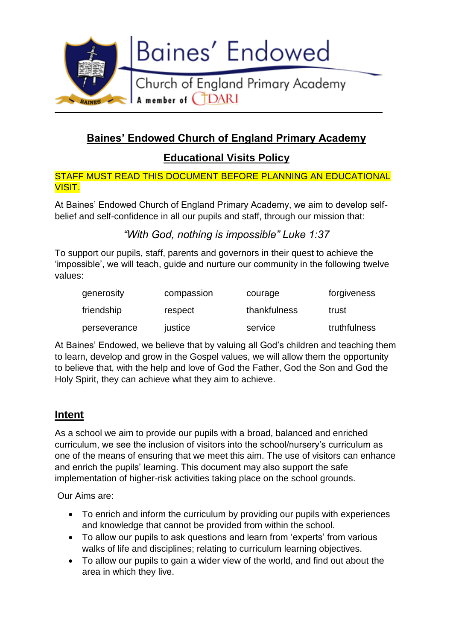

# **Baines' Endowed Church of England Primary Academy**

**Educational Visits Policy**

STAFF MUST READ THIS DOCUMENT BEFORE PLANNING AN EDUCATIONAL VISIT.

At Baines' Endowed Church of England Primary Academy, we aim to develop selfbelief and self-confidence in all our pupils and staff, through our mission that:

# *"With God, nothing is impossible" Luke 1:37*

To support our pupils, staff, parents and governors in their quest to achieve the 'impossible', we will teach, guide and nurture our community in the following twelve values:

| generosity   | compassion | courage      | forgiveness  |
|--------------|------------|--------------|--------------|
| friendship   | respect    | thankfulness | trust        |
| perseverance | justice    | service      | truthfulness |

At Baines' Endowed, we believe that by valuing all God's children and teaching them to learn, develop and grow in the Gospel values, we will allow them the opportunity to believe that, with the help and love of God the Father, God the Son and God the Holy Spirit, they can achieve what they aim to achieve.

# **Intent**

As a school we aim to provide our pupils with a broad, balanced and enriched curriculum, we see the inclusion of visitors into the school/nursery's curriculum as one of the means of ensuring that we meet this aim. The use of visitors can enhance and enrich the pupils' learning. This document may also support the safe implementation of higher-risk activities taking place on the school grounds.

Our Aims are:

- To enrich and inform the curriculum by providing our pupils with experiences and knowledge that cannot be provided from within the school.
- To allow our pupils to ask questions and learn from 'experts' from various walks of life and disciplines; relating to curriculum learning objectives.
- To allow our pupils to gain a wider view of the world, and find out about the area in which they live.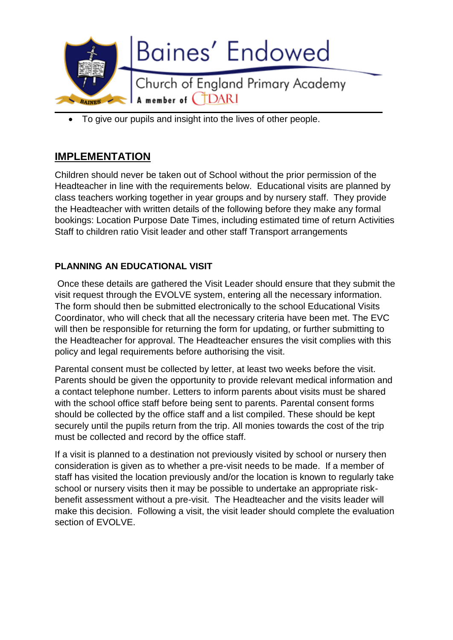

To give our pupils and insight into the lives of other people.

# **IMPLEMENTATION**

Children should never be taken out of School without the prior permission of the Headteacher in line with the requirements below. Educational visits are planned by class teachers working together in year groups and by nursery staff. They provide the Headteacher with written details of the following before they make any formal bookings: Location Purpose Date Times, including estimated time of return Activities Staff to children ratio Visit leader and other staff Transport arrangements

# **PLANNING AN EDUCATIONAL VISIT**

Once these details are gathered the Visit Leader should ensure that they submit the visit request through the EVOLVE system, entering all the necessary information. The form should then be submitted electronically to the school Educational Visits Coordinator, who will check that all the necessary criteria have been met. The EVC will then be responsible for returning the form for updating, or further submitting to the Headteacher for approval. The Headteacher ensures the visit complies with this policy and legal requirements before authorising the visit.

Parental consent must be collected by letter, at least two weeks before the visit. Parents should be given the opportunity to provide relevant medical information and a contact telephone number. Letters to inform parents about visits must be shared with the school office staff before being sent to parents. Parental consent forms should be collected by the office staff and a list compiled. These should be kept securely until the pupils return from the trip. All monies towards the cost of the trip must be collected and record by the office staff.

If a visit is planned to a destination not previously visited by school or nursery then consideration is given as to whether a pre-visit needs to be made. If a member of staff has visited the location previously and/or the location is known to regularly take school or nursery visits then it may be possible to undertake an appropriate riskbenefit assessment without a pre-visit. The Headteacher and the visits leader will make this decision. Following a visit, the visit leader should complete the evaluation section of EVOLVE.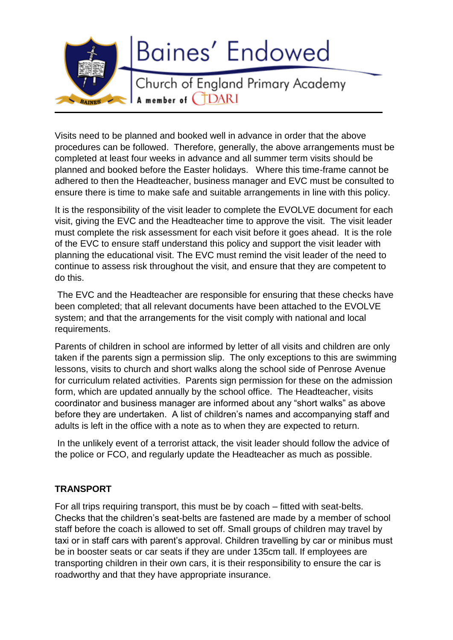

Visits need to be planned and booked well in advance in order that the above procedures can be followed. Therefore, generally, the above arrangements must be completed at least four weeks in advance and all summer term visits should be planned and booked before the Easter holidays. Where this time-frame cannot be adhered to then the Headteacher, business manager and EVC must be consulted to ensure there is time to make safe and suitable arrangements in line with this policy.

It is the responsibility of the visit leader to complete the EVOLVE document for each visit, giving the EVC and the Headteacher time to approve the visit. The visit leader must complete the risk assessment for each visit before it goes ahead. It is the role of the EVC to ensure staff understand this policy and support the visit leader with planning the educational visit. The EVC must remind the visit leader of the need to continue to assess risk throughout the visit, and ensure that they are competent to do this.

The EVC and the Headteacher are responsible for ensuring that these checks have been completed; that all relevant documents have been attached to the EVOLVE system; and that the arrangements for the visit comply with national and local requirements.

Parents of children in school are informed by letter of all visits and children are only taken if the parents sign a permission slip. The only exceptions to this are swimming lessons, visits to church and short walks along the school side of Penrose Avenue for curriculum related activities. Parents sign permission for these on the admission form, which are updated annually by the school office. The Headteacher, visits coordinator and business manager are informed about any "short walks" as above before they are undertaken. A list of children's names and accompanying staff and adults is left in the office with a note as to when they are expected to return.

In the unlikely event of a terrorist attack, the visit leader should follow the advice of the police or FCO, and regularly update the Headteacher as much as possible.

## **TRANSPORT**

For all trips requiring transport, this must be by coach – fitted with seat-belts. Checks that the children's seat-belts are fastened are made by a member of school staff before the coach is allowed to set off. Small groups of children may travel by taxi or in staff cars with parent's approval. Children travelling by car or minibus must be in booster seats or car seats if they are under 135cm tall. If employees are transporting children in their own cars, it is their responsibility to ensure the car is roadworthy and that they have appropriate insurance.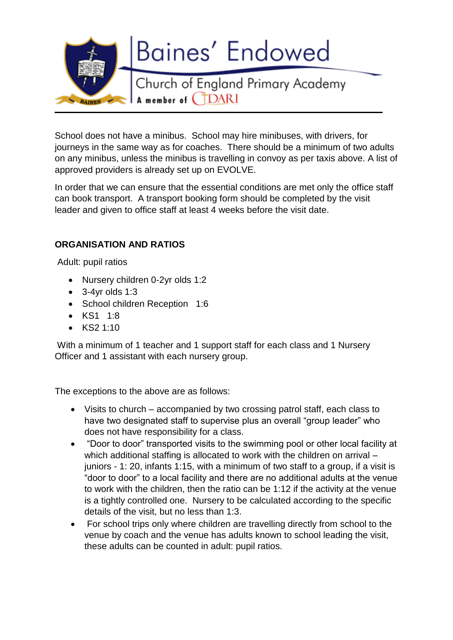

School does not have a minibus. School may hire minibuses, with drivers, for journeys in the same way as for coaches. There should be a minimum of two adults on any minibus, unless the minibus is travelling in convoy as per taxis above. A list of approved providers is already set up on EVOLVE.

In order that we can ensure that the essential conditions are met only the office staff can book transport. A transport booking form should be completed by the visit leader and given to office staff at least 4 weeks before the visit date.

# **ORGANISATION AND RATIOS**

Adult: pupil ratios

- Nursery children 0-2yr olds 1:2
- $\bullet$  3-4yr olds 1:3
- School children Reception 1:6
- KS1 1:8
- $\bullet$  KS2 1:10

With a minimum of 1 teacher and 1 support staff for each class and 1 Nursery Officer and 1 assistant with each nursery group.

The exceptions to the above are as follows:

- Visits to church accompanied by two crossing patrol staff, each class to have two designated staff to supervise plus an overall "group leader" who does not have responsibility for a class.
- "Door to door" transported visits to the swimming pool or other local facility at which additional staffing is allocated to work with the children on arrival – juniors - 1: 20, infants 1:15, with a minimum of two staff to a group, if a visit is "door to door" to a local facility and there are no additional adults at the venue to work with the children, then the ratio can be 1:12 if the activity at the venue is a tightly controlled one. Nursery to be calculated according to the specific details of the visit, but no less than 1:3.
- For school trips only where children are travelling directly from school to the venue by coach and the venue has adults known to school leading the visit, these adults can be counted in adult: pupil ratios.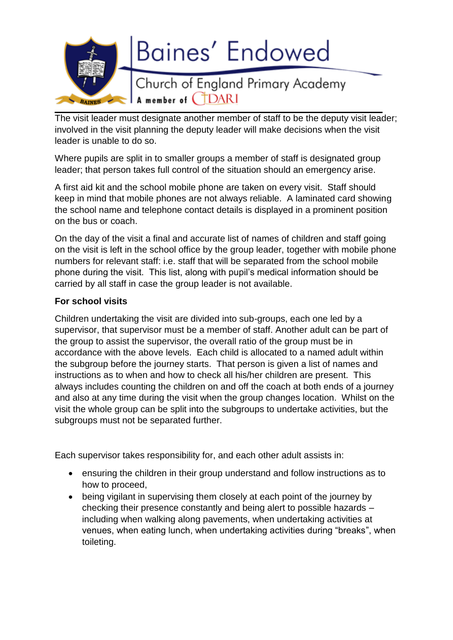

The visit leader must designate another member of staff to be the deputy visit leader; involved in the visit planning the deputy leader will make decisions when the visit leader is unable to do so.

Where pupils are split in to smaller groups a member of staff is designated group leader; that person takes full control of the situation should an emergency arise.

A first aid kit and the school mobile phone are taken on every visit. Staff should keep in mind that mobile phones are not always reliable. A laminated card showing the school name and telephone contact details is displayed in a prominent position on the bus or coach.

On the day of the visit a final and accurate list of names of children and staff going on the visit is left in the school office by the group leader, together with mobile phone numbers for relevant staff: i.e. staff that will be separated from the school mobile phone during the visit. This list, along with pupil's medical information should be carried by all staff in case the group leader is not available.

#### **For school visits**

Children undertaking the visit are divided into sub-groups, each one led by a supervisor, that supervisor must be a member of staff. Another adult can be part of the group to assist the supervisor, the overall ratio of the group must be in accordance with the above levels. Each child is allocated to a named adult within the subgroup before the journey starts. That person is given a list of names and instructions as to when and how to check all his/her children are present. This always includes counting the children on and off the coach at both ends of a journey and also at any time during the visit when the group changes location. Whilst on the visit the whole group can be split into the subgroups to undertake activities, but the subgroups must not be separated further.

Each supervisor takes responsibility for, and each other adult assists in:

- ensuring the children in their group understand and follow instructions as to how to proceed,
- being vigilant in supervising them closely at each point of the journey by checking their presence constantly and being alert to possible hazards – including when walking along pavements, when undertaking activities at venues, when eating lunch, when undertaking activities during "breaks", when toileting.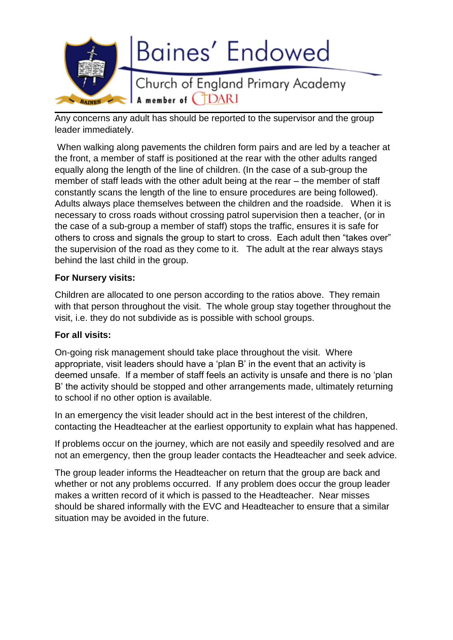

Any concerns any adult has should be reported to the supervisor and the group leader immediately.

When walking along pavements the children form pairs and are led by a teacher at the front, a member of staff is positioned at the rear with the other adults ranged equally along the length of the line of children. (In the case of a sub-group the member of staff leads with the other adult being at the rear – the member of staff constantly scans the length of the line to ensure procedures are being followed). Adults always place themselves between the children and the roadside. When it is necessary to cross roads without crossing patrol supervision then a teacher, (or in the case of a sub-group a member of staff) stops the traffic, ensures it is safe for others to cross and signals the group to start to cross. Each adult then "takes over" the supervision of the road as they come to it. The adult at the rear always stays behind the last child in the group.

## **For Nursery visits:**

Children are allocated to one person according to the ratios above. They remain with that person throughout the visit. The whole group stay together throughout the visit, i.e. they do not subdivide as is possible with school groups.

## **For all visits:**

On-going risk management should take place throughout the visit. Where appropriate, visit leaders should have a 'plan B' in the event that an activity is deemed unsafe. If a member of staff feels an activity is unsafe and there is no 'plan B' the activity should be stopped and other arrangements made, ultimately returning to school if no other option is available.

In an emergency the visit leader should act in the best interest of the children, contacting the Headteacher at the earliest opportunity to explain what has happened.

If problems occur on the journey, which are not easily and speedily resolved and are not an emergency, then the group leader contacts the Headteacher and seek advice.

The group leader informs the Headteacher on return that the group are back and whether or not any problems occurred. If any problem does occur the group leader makes a written record of it which is passed to the Headteacher. Near misses should be shared informally with the EVC and Headteacher to ensure that a similar situation may be avoided in the future.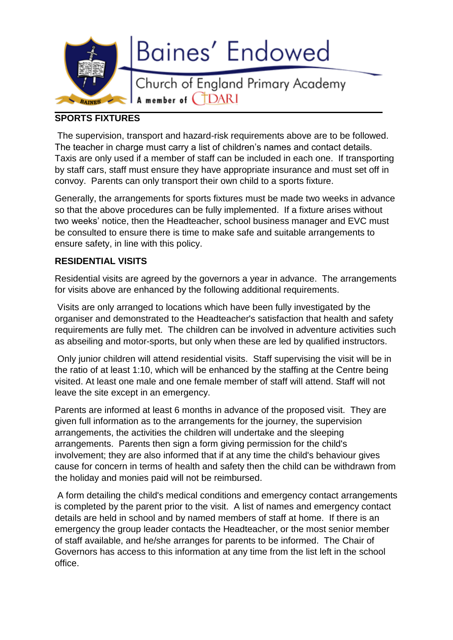

## **SPORTS FIXTURES**

The supervision, transport and hazard-risk requirements above are to be followed. The teacher in charge must carry a list of children's names and contact details. Taxis are only used if a member of staff can be included in each one. If transporting by staff cars, staff must ensure they have appropriate insurance and must set off in convoy. Parents can only transport their own child to a sports fixture.

Generally, the arrangements for sports fixtures must be made two weeks in advance so that the above procedures can be fully implemented. If a fixture arises without two weeks' notice, then the Headteacher, school business manager and EVC must be consulted to ensure there is time to make safe and suitable arrangements to ensure safety, in line with this policy.

## **RESIDENTIAL VISITS**

Residential visits are agreed by the governors a year in advance. The arrangements for visits above are enhanced by the following additional requirements.

Visits are only arranged to locations which have been fully investigated by the organiser and demonstrated to the Headteacher's satisfaction that health and safety requirements are fully met. The children can be involved in adventure activities such as abseiling and motor-sports, but only when these are led by qualified instructors.

Only junior children will attend residential visits. Staff supervising the visit will be in the ratio of at least 1:10, which will be enhanced by the staffing at the Centre being visited. At least one male and one female member of staff will attend. Staff will not leave the site except in an emergency.

Parents are informed at least 6 months in advance of the proposed visit. They are given full information as to the arrangements for the journey, the supervision arrangements, the activities the children will undertake and the sleeping arrangements. Parents then sign a form giving permission for the child's involvement; they are also informed that if at any time the child's behaviour gives cause for concern in terms of health and safety then the child can be withdrawn from the holiday and monies paid will not be reimbursed.

A form detailing the child's medical conditions and emergency contact arrangements is completed by the parent prior to the visit. A list of names and emergency contact details are held in school and by named members of staff at home. If there is an emergency the group leader contacts the Headteacher, or the most senior member of staff available, and he/she arranges for parents to be informed. The Chair of Governors has access to this information at any time from the list left in the school office.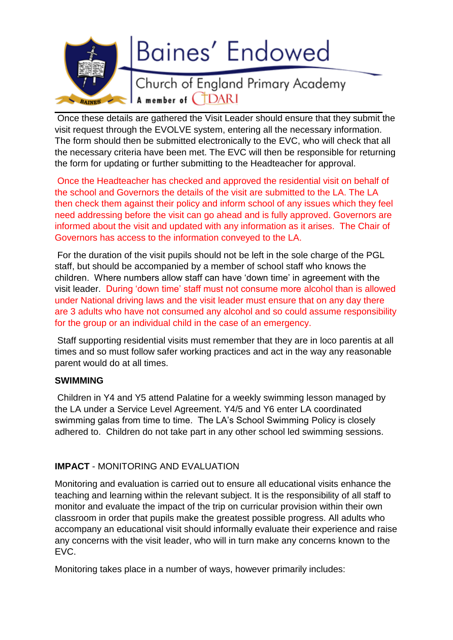

Once these details are gathered the Visit Leader should ensure that they submit the visit request through the EVOLVE system, entering all the necessary information. The form should then be submitted electronically to the EVC, who will check that all the necessary criteria have been met. The EVC will then be responsible for returning the form for updating or further submitting to the Headteacher for approval.

Once the Headteacher has checked and approved the residential visit on behalf of the school and Governors the details of the visit are submitted to the LA. The LA then check them against their policy and inform school of any issues which they feel need addressing before the visit can go ahead and is fully approved. Governors are informed about the visit and updated with any information as it arises. The Chair of Governors has access to the information conveyed to the LA.

For the duration of the visit pupils should not be left in the sole charge of the PGL staff, but should be accompanied by a member of school staff who knows the children. Where numbers allow staff can have 'down time' in agreement with the visit leader. During 'down time' staff must not consume more alcohol than is allowed under National driving laws and the visit leader must ensure that on any day there are 3 adults who have not consumed any alcohol and so could assume responsibility for the group or an individual child in the case of an emergency.

Staff supporting residential visits must remember that they are in loco parentis at all times and so must follow safer working practices and act in the way any reasonable parent would do at all times.

## **SWIMMING**

Children in Y4 and Y5 attend Palatine for a weekly swimming lesson managed by the LA under a Service Level Agreement. Y4/5 and Y6 enter LA coordinated swimming galas from time to time. The LA's School Swimming Policy is closely adhered to. Children do not take part in any other school led swimming sessions.

## **IMPACT** - MONITORING AND EVALUATION

Monitoring and evaluation is carried out to ensure all educational visits enhance the teaching and learning within the relevant subject. It is the responsibility of all staff to monitor and evaluate the impact of the trip on curricular provision within their own classroom in order that pupils make the greatest possible progress. All adults who accompany an educational visit should informally evaluate their experience and raise any concerns with the visit leader, who will in turn make any concerns known to the EVC.

Monitoring takes place in a number of ways, however primarily includes: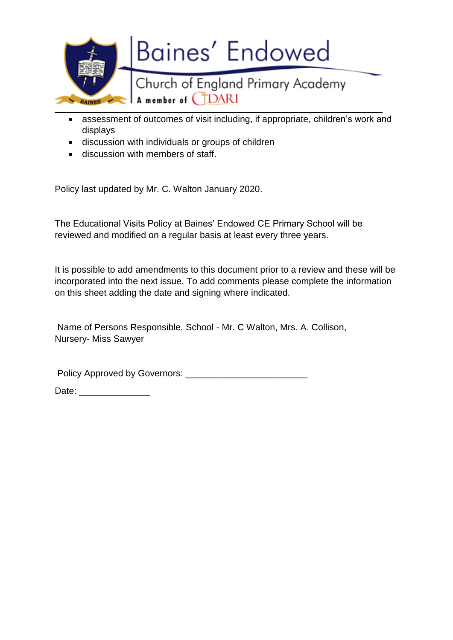

- assessment of outcomes of visit including, if appropriate, children's work and displays
- discussion with individuals or groups of children
- discussion with members of staff.

Policy last updated by Mr. C. Walton January 2020.

The Educational Visits Policy at Baines' Endowed CE Primary School will be reviewed and modified on a regular basis at least every three years.

It is possible to add amendments to this document prior to a review and these will be incorporated into the next issue. To add comments please complete the information on this sheet adding the date and signing where indicated.

Name of Persons Responsible, School - Mr. C Walton, Mrs. A. Collison, Nursery- Miss Sawyer

Policy Approved by Governors: \_\_\_\_\_\_\_\_\_\_\_\_\_\_\_\_\_\_\_\_\_\_\_\_

Date:  $\Box$